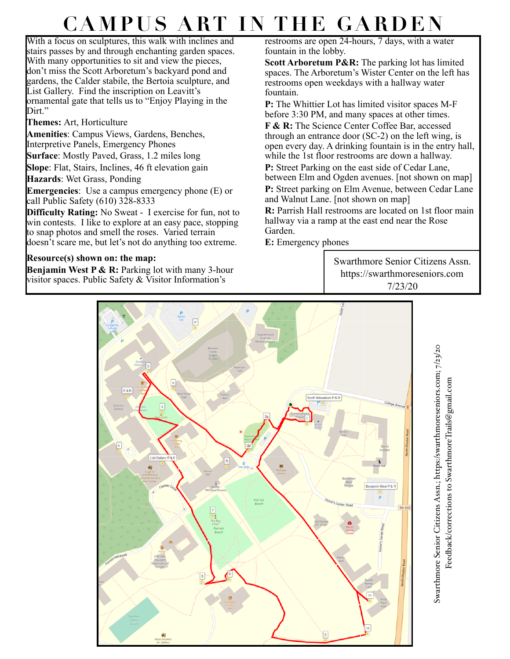# **CAMPUS ART IN THE GARDEN**

With a focus on sculptures, this walk with inclines and stairs passes by and through enchanting garden spaces. With many opportunities to sit and view the pieces, don't miss the Scott Arboretum's backyard pond and gardens, the Calder stabile, the Bertoia sculpture, and List Gallery. Find the inscription on Leavitt's ornamental gate that tells us to "Enjoy Playing in the Dirt."

#### **Themes:** Art, Horticulture

**Amenities**: Campus Views, Gardens, Benches, Interpretive Panels, Emergency Phones

**Surface**: Mostly Paved, Grass, 1.2 miles long

**Slope**: Flat, Stairs, Inclines, 46 ft elevation gain

**Hazards**: Wet Grass, Ponding

**Emergencies**: Use a campus emergency phone (E) or call Public Safety (610) 328-8333

**Difficulty Rating:** No Sweat - I exercise for fun, not to win contests. I like to explore at an easy pace, stopping to snap photos and smell the roses. Varied terrain doesn't scare me, but let's not do anything too extreme.

## **Resource(s) shown on: the map:**

**Benjamin West P & R:** Parking lot with many 3-hour visitor spaces. Public Safety & Visitor Information's

restrooms are open 24-hours, 7 days, with a water fountain in the lobby.

**Scott Arboretum P&R:** The parking lot has limited spaces. The Arboretum's Wister Center on the left has restrooms open weekdays with a hallway water fountain.

**P:** The Whittier Lot has limited visitor spaces M-F before 3:30 PM, and many spaces at other times.

**F & R:** The Science Center Coffee Bar, accessed through an entrance door (SC-2) on the left wing, is open every day. A drinking fountain is in the entry hall, while the 1st floor restrooms are down a hallway.

**P:** Street Parking on the east side of Cedar Lane,

between Elm and Ogden avenues. [not shown on map] **P:** Street parking on Elm Avenue, between Cedar Lane and Walnut Lane. [not shown on map]

**R:** Parrish Hall restrooms are located on 1st floor main hallway via a ramp at the east end near the Rose Garden.

**E:** Emergency phones

Swarthmore Senior Citizens Assn. https://swarthmoreseniors.com 7/23/20



Swarthmore Senior Citizens Assn.; https:/swarthmoreseniors.com; 7/23/20 Swarthmore Senior Citizens Assn.; https:/[swarthmoreseniors.com](http://swarthmoreseniors.com); 7/23/20 Feedback/corrections to [SwarthmoreTrails@gmail.com](mailto:SwarthmoreTrails@gmail.com)Feedback/corrections to SwarthmoreTrails@gmail.com